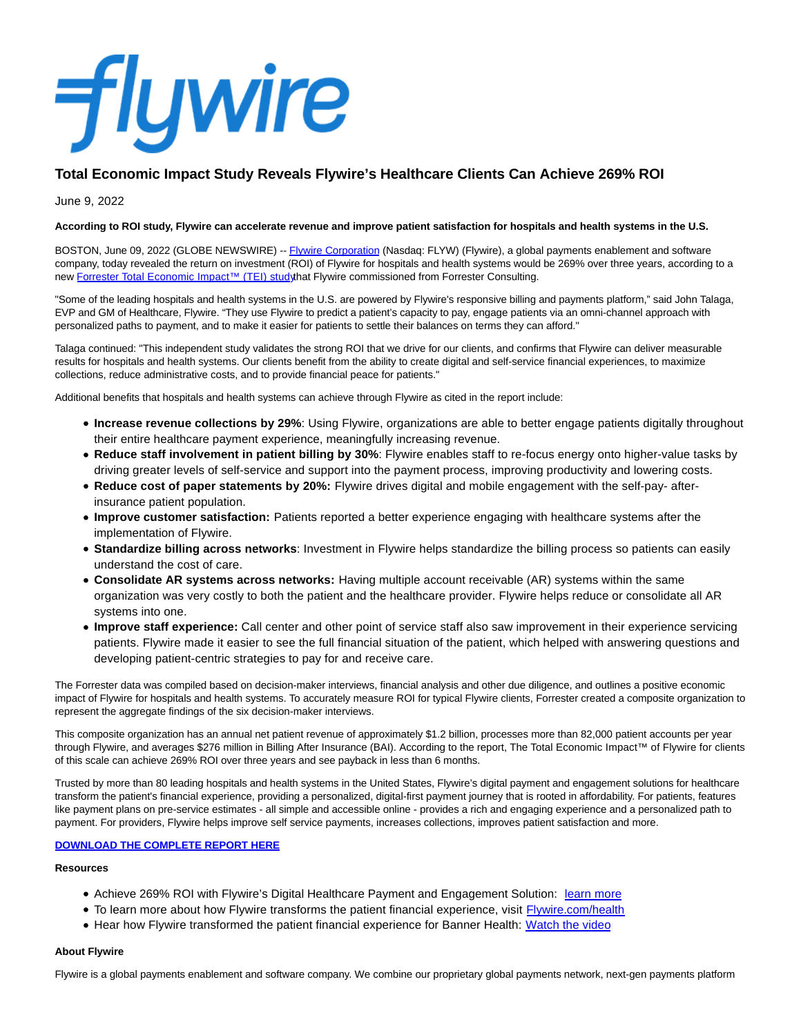# **flywire**

# **Total Economic Impact Study Reveals Flywire's Healthcare Clients Can Achieve 269% ROI**

June 9, 2022

# **According to ROI study, Flywire can accelerate revenue and improve patient satisfaction for hospitals and health systems in the U.S.**

BOSTON, June 09, 2022 (GLOBE NEWSWIRE) -[- Flywire Corporation \(](https://www.globenewswire.com/Tracker?data=aXOdOp2uLlu3uaFYE44JLf7k5n98Byd4OsgHuL0S3k3vMUXfzI_gsfnBwv84NpFTzcrD4T0o8Krwoek-06szIq0_PnFalmyHzYTmU-xEzqg=)Nasdaq: FLYW) (Flywire), a global payments enablement and software company, today revealed the return on investment (ROI) of Flywire for hospitals and health systems would be 269% over three years, according to a new Forrester Total Economic Impact™ (TEI) studythat Flywire commissioned from Forrester Consulting.

"Some of the leading hospitals and health systems in the U.S. are powered by Flywire's responsive billing and payments platform," said John Talaga, EVP and GM of Healthcare, Flywire. "They use Flywire to predict a patient's capacity to pay, engage patients via an omni-channel approach with personalized paths to payment, and to make it easier for patients to settle their balances on terms they can afford."

Talaga continued: "This independent study validates the strong ROI that we drive for our clients, and confirms that Flywire can deliver measurable results for hospitals and health systems. Our clients benefit from the ability to create digital and self-service financial experiences, to maximize collections, reduce administrative costs, and to provide financial peace for patients."

Additional benefits that hospitals and health systems can achieve through Flywire as cited in the report include:

- **Increase revenue collections by 29%**: Using Flywire, organizations are able to better engage patients digitally throughout their entire healthcare payment experience, meaningfully increasing revenue.
- **Reduce staff involvement in patient billing by 30%**: Flywire enables staff to re-focus energy onto higher-value tasks by driving greater levels of self-service and support into the payment process, improving productivity and lowering costs.
- **Reduce cost of paper statements by 20%:** Flywire drives digital and mobile engagement with the self-pay- afterinsurance patient population.
- **Improve customer satisfaction:** Patients reported a better experience engaging with healthcare systems after the implementation of Flywire.
- **Standardize billing across networks**: Investment in Flywire helps standardize the billing process so patients can easily understand the cost of care.
- **Consolidate AR systems across networks:** Having multiple account receivable (AR) systems within the same organization was very costly to both the patient and the healthcare provider. Flywire helps reduce or consolidate all AR systems into one.
- **Improve staff experience:** Call center and other point of service staff also saw improvement in their experience servicing patients. Flywire made it easier to see the full financial situation of the patient, which helped with answering questions and developing patient-centric strategies to pay for and receive care.

The Forrester data was compiled based on decision-maker interviews, financial analysis and other due diligence, and outlines a positive economic impact of Flywire for hospitals and health systems. To accurately measure ROI for typical Flywire clients, Forrester created a composite organization to represent the aggregate findings of the six decision-maker interviews.

This composite organization has an annual net patient revenue of approximately \$1.2 billion, processes more than 82,000 patient accounts per year through Flywire, and averages \$276 million in Billing After Insurance (BAI). According to the report, The Total Economic Impact™ of Flywire for clients of this scale can achieve 269% ROI over three years and see payback in less than 6 months.

Trusted by more than 80 leading hospitals and health systems in the United States, Flywire's digital payment and engagement solutions for healthcare transform the patient's financial experience, providing a personalized, digital-first payment journey that is rooted in affordability. For patients, features like payment plans on pre-service estimates - all simple and accessible online - provides a rich and engaging experience and a personalized path to payment. For providers, Flywire helps improve self service payments, increases collections, improves patient satisfaction and more.

## **[DOWNLOAD THE COMPLETE REPORT HERE](https://www.globenewswire.com/Tracker?data=L797kNECr_t4J9djRgFdPmrs8JRY84vtw5twELC9LNIMmWrKVSw5FIJT5ZSqdPixx5vb49nxbOkm-BAqjbAr6WwVIp3z8RakcBPOGsiEvEnsuUxrI1YBQTtP0fJLwKe3ZziktLvyoQmxgAJYQ-RgIES-kGIwOKROFkA0QWSjejbJFkLZNXnJiCOg16oSJaunkVU36wlewV6F3hzzTZt70B5gRJnp8h-dj3vbIeat52Y=)**

## **Resources**

- Achieve 269% ROI with Flywire's Digital Healthcare Payment and Engagement Solution: [learn more](https://www.flywire.com/resources/report-achieve-269-roi-with-flywires-digital-healthcare-payment-and-engagement-solution)
- To learn more about how Flywire transforms the patient financial experience, visit [Flywire.com/health](https://www.flywire.com/health)
- Hear how Flywire transformed the patient financial experience for Banner Health: [Watch the video](https://www.flywire.com/resources/video-testimonial-experience-how-flywire-revolutionized-financial-care-at-banner-health)

#### **About Flywire**

Flywire is a global payments enablement and software company. We combine our proprietary global payments network, next-gen payments platform